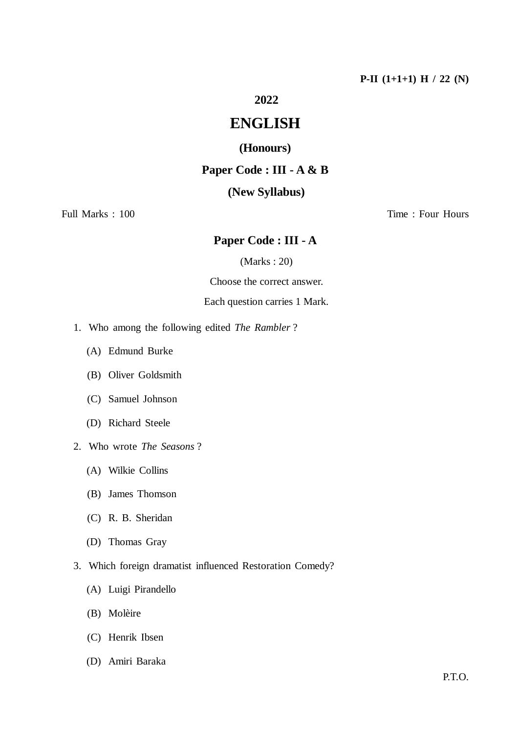# **2022**

# **ENGLISH**

## **(Honours)**

## **Paper Code : III - A & B**

## **(New Syllabus)**

## Full Marks : 100 Time : Four Hours

# **Paper Code : III - A**

(Marks : 20)

Choose the correct answer.

### Each question carries 1 Mark.

- 1. Who among the following edited *The Rambler* ?
	- (A) Edmund Burke
	- (B) Oliver Goldsmith
	- (C) Samuel Johnson
	- (D) Richard Steele
- 2. Who wrote *The Seasons* ?
	- (A) Wilkie Collins
	- (B) James Thomson
	- (C) R. B. Sheridan
	- (D) Thomas Gray
- 3. Which foreign dramatist influenced Restoration Comedy?
	- (A) Luigi Pirandello
	- (B) Molèire
	- (C) Henrik Ibsen
	- (D) Amiri Baraka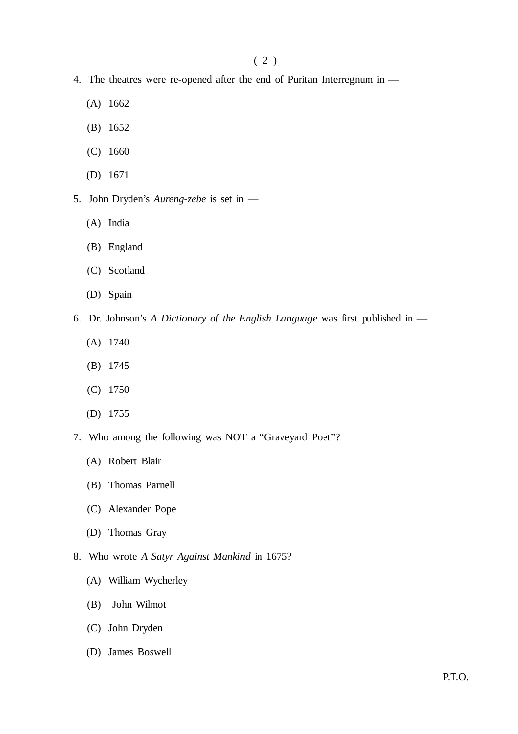- 4. The theatres were re-opened after the end of Puritan Interregnum in
	- (A) 1662
	- (B) 1652
	- (C) 1660
	- (D) 1671
- 5. John Dryden's *Aureng-zebe* is set in
	- (A) India
	- (B) England
	- (C) Scotland
	- (D) Spain
- 6. Dr. Johnson's *A Dictionary of the English Language* was first published in
	- (A) 1740
	- (B) 1745
	- (C) 1750
	- (D) 1755
- 7. Who among the following was NOT a "Graveyard Poet"?
	- (A) Robert Blair
	- (B) Thomas Parnell
	- (C) Alexander Pope
	- (D) Thomas Gray
- 8. Who wrote *A Satyr Against Mankind* in 1675?
	- (A) William Wycherley
	- (B) John Wilmot
	- (C) John Dryden
	- (D) James Boswell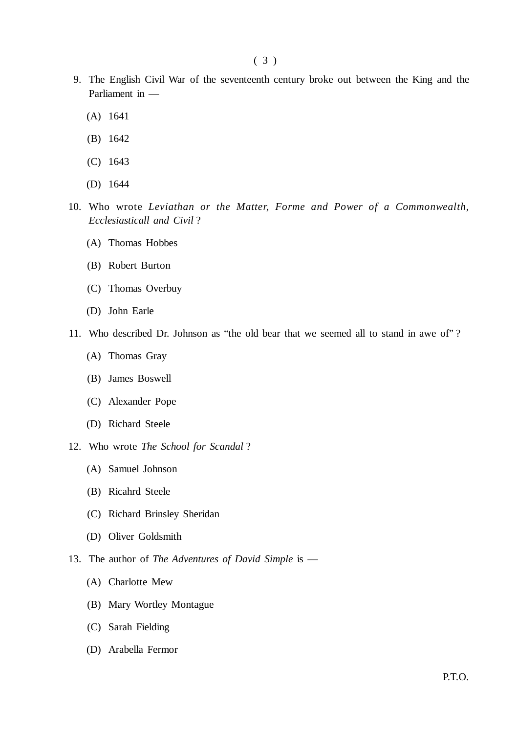- 9. The English Civil War of the seventeenth century broke out between the King and the Parliament in —
	- (A) 1641
	- (B) 1642
	- (C) 1643
	- (D) 1644
- 10. Who wrote *Leviathan or the Matter, Forme and Power of a Commonwealth, Ecclesiasticall and Civil* ?
	- (A) Thomas Hobbes
	- (B) Robert Burton
	- (C) Thomas Overbuy
	- (D) John Earle
- 11. Who described Dr. Johnson as "the old bear that we seemed all to stand in awe of" ?
	- (A) Thomas Gray
	- (B) James Boswell
	- (C) Alexander Pope
	- (D) Richard Steele
- 12. Who wrote *The School for Scandal* ?
	- (A) Samuel Johnson
	- (B) Ricahrd Steele
	- (C) Richard Brinsley Sheridan
	- (D) Oliver Goldsmith
- 13. The author of *The Adventures of David Simple* is
	- (A) Charlotte Mew
	- (B) Mary Wortley Montague
	- (C) Sarah Fielding
	- (D) Arabella Fermor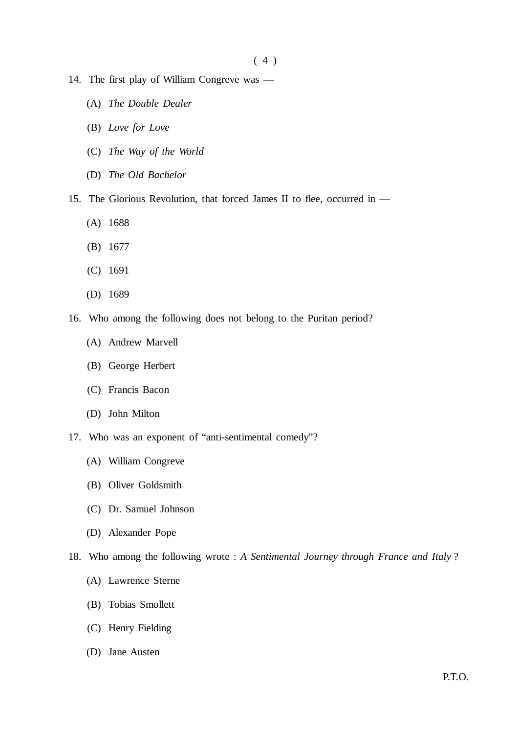$(4)$ 

- 14. The first play of William Congreve was
	- (A) *The Double Dealer*
	- (B) *Love for Love*
	- (C) *The Way of the World*
	- (D) *The Old Bachelor*
- 15. The Glorious Revolution, that forced James II to flee, occurred in
	- (A) 1688
	- (B) 1677
	- (C) 1691
	- (D) 1689
- 16. Who among the following does not belong to the Puritan period?
	- (A) Andrew Marvell
	- (B) George Herbert
	- (C) Francis Bacon
	- (D) John Milton
- 17. Who was an exponent of "anti-sentimental comedy"?
	- (A) William Congreve
	- (B) Oliver Goldsmith
	- (C) Dr. Samuel Johnson
	- (D) Alexander Pope
- 18. Who among the following wrote : *A Sentimental Journey through France and Italy* ?
	- (A) Lawrence Sterne
	- (B) Tobias Smollett
	- (C) Henry Fielding
	- (D) Jane Austen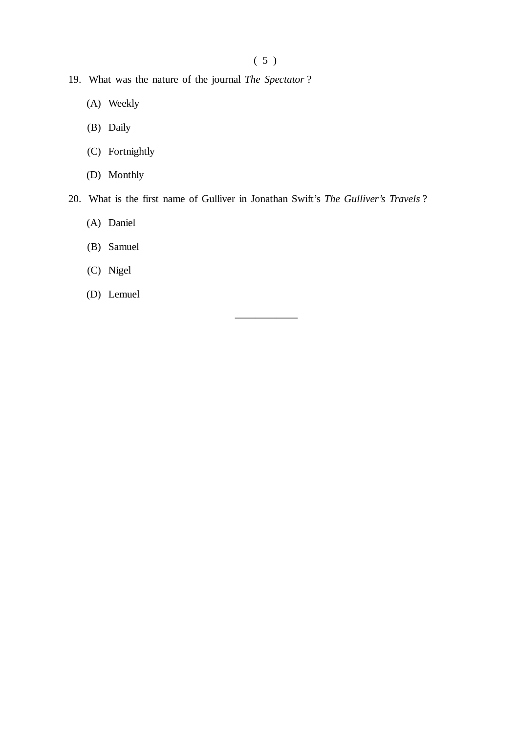( 5 )

- 19. What was the nature of the journal *The Spectator* ?
	- (A) Weekly
	- (B) Daily
	- (C) Fortnightly
	- (D) Monthly
- 20. What is the first name of Gulliver in Jonathan Swift's *The Gulliver's Travels* ?

——————

- (A) Daniel
- (B) Samuel
- (C) Nigel
- (D) Lemuel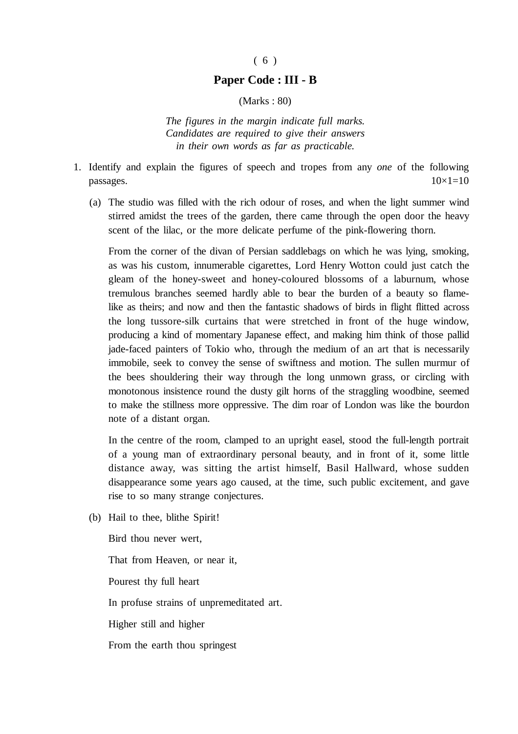#### ( 6 )

#### **Paper Code : III - B**

(Marks : 80)

*The figures in the margin indicate full marks. Candidates are required to give their answers in their own words as far as practicable.*

- 1. Identify and explain the figures of speech and tropes from any *one* of the following  $p$ assages.  $10\times1=10$ 
	- (a) The studio was filled with the rich odour of roses, and when the light summer wind stirred amidst the trees of the garden, there came through the open door the heavy scent of the lilac, or the more delicate perfume of the pink-flowering thorn.

From the corner of the divan of Persian saddlebags on which he was lying, smoking, as was his custom, innumerable cigarettes, Lord Henry Wotton could just catch the gleam of the honey-sweet and honey-coloured blossoms of a laburnum, whose tremulous branches seemed hardly able to bear the burden of a beauty so flamelike as theirs; and now and then the fantastic shadows of birds in flight flitted across the long tussore-silk curtains that were stretched in front of the huge window, producing a kind of momentary Japanese effect, and making him think of those pallid jade-faced painters of Tokio who, through the medium of an art that is necessarily immobile, seek to convey the sense of swiftness and motion. The sullen murmur of the bees shouldering their way through the long unmown grass, or circling with monotonous insistence round the dusty gilt horns of the straggling woodbine, seemed to make the stillness more oppressive. The dim roar of London was like the bourdon note of a distant organ.

In the centre of the room, clamped to an upright easel, stood the full-length portrait of a young man of extraordinary personal beauty, and in front of it, some little distance away, was sitting the artist himself, Basil Hallward, whose sudden disappearance some years ago caused, at the time, such public excitement, and gave rise to so many strange conjectures.

(b) Hail to thee, blithe Spirit!

Bird thou never wert,

That from Heaven, or near it,

Pourest thy full heart

In profuse strains of unpremeditated art.

Higher still and higher

From the earth thou springest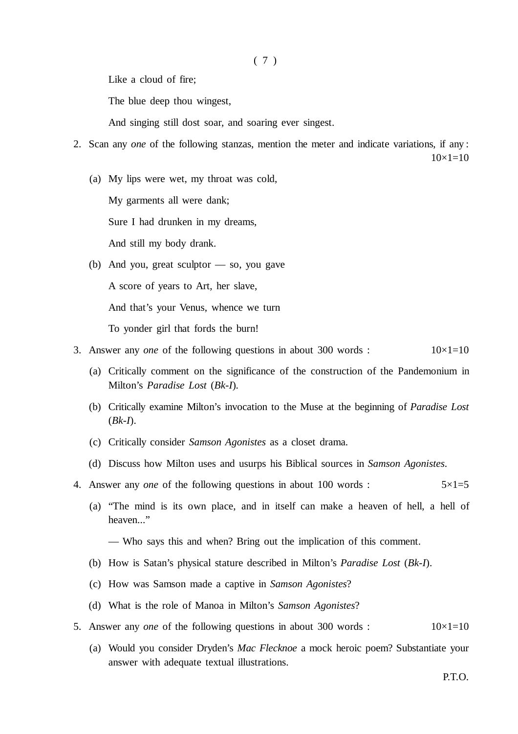Like a cloud of fire;

The blue deep thou wingest,

And singing still dost soar, and soaring ever singest.

- 2. Scan any *one* of the following stanzas, mention the meter and indicate variations, if any :  $10\times1=10$ 
	- (a) My lips were wet, my throat was cold,

My garments all were dank;

Sure I had drunken in my dreams,

And still my body drank.

- (b) And you, great sculptor so, you gave A score of years to Art, her slave, And that's your Venus, whence we turn To yonder girl that fords the burn!
- 3. Answer any *one* of the following questions in about 300 words :  $10\times1=10$ 
	- (a) Critically comment on the significance of the construction of the Pandemonium in Milton's *Paradise Lost* (*Bk-I*).
	- (b) Critically examine Milton's invocation to the Muse at the beginning of *Paradise Lost* (*Bk-I*).
	- (c) Critically consider *Samson Agonistes* as a closet drama.
	- (d) Discuss how Milton uses and usurps his Biblical sources in *Samson Agonistes*.
- 4. Answer any *one* of the following questions in about 100 words :  $5 \times 1 = 5$ 
	- (a) "The mind is its own place, and in itself can make a heaven of hell, a hell of heaven..."
		- Who says this and when? Bring out the implication of this comment.
	- (b) How is Satan's physical stature described in Milton's *Paradise Lost* (*Bk-I*).
	- (c) How was Samson made a captive in *Samson Agonistes*?
	- (d) What is the role of Manoa in Milton's *Samson Agonistes*?
- 5. Answer any *one* of the following questions in about 300 words :  $10\times1=10$ 
	- (a) Would you consider Dryden's *Mac Flecknoe* a mock heroic poem? Substantiate your answer with adequate textual illustrations.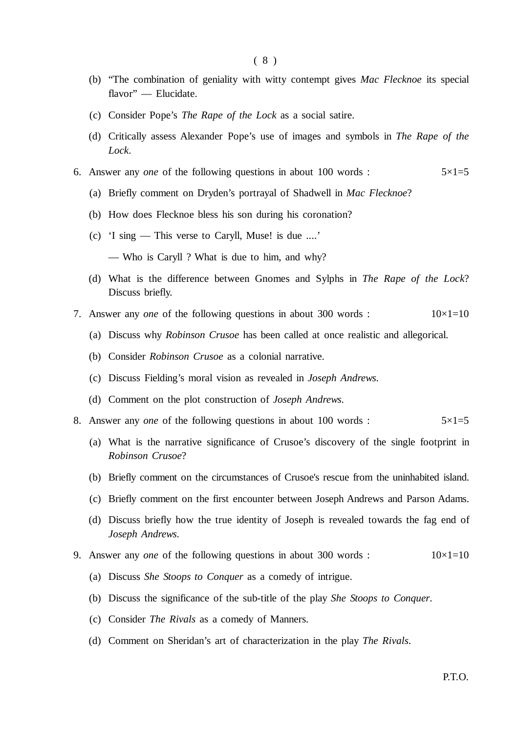- (b) "The combination of geniality with witty contempt gives *Mac Flecknoe* its special flavor" — Elucidate.
- (c) Consider Pope's *The Rape of the Lock* as a social satire.
- (d) Critically assess Alexander Pope's use of images and symbols in *The Rape of the Lock*.
- 6. Answer any *one* of the following questions in about 100 words :  $5 \times 1 = 5$ 
	- (a) Briefly comment on Dryden's portrayal of Shadwell in *Mac Flecknoe*?
	- (b) How does Flecknoe bless his son during his coronation?
	- (c) 'I sing This verse to Caryll, Muse! is due ....'
		- Who is Caryll ? What is due to him, and why?
	- (d) What is the difference between Gnomes and Sylphs in *The Rape of the Lock*? Discuss briefly.
- 7. Answer any *one* of the following questions in about 300 words :  $10\times1=10$ 
	- (a) Discuss why *Robinson Crusoe* has been called at once realistic and allegorical.
	- (b) Consider *Robinson Crusoe* as a colonial narrative.
	- (c) Discuss Fielding's moral vision as revealed in *Joseph Andrews*.
	- (d) Comment on the plot construction of *Joseph Andrews*.
- 8. Answer any *one* of the following questions in about 100 words :  $5 \times 1 = 5$ 
	- (a) What is the narrative significance of Crusoe's discovery of the single footprint in *Robinson Crusoe*?
	- (b) Briefly comment on the circumstances of Crusoe's rescue from the uninhabited island.
	- (c) Briefly comment on the first encounter between Joseph Andrews and Parson Adams.
	- (d) Discuss briefly how the true identity of Joseph is revealed towards the fag end of *Joseph Andrews*.
- 9. Answer any *one* of the following questions in about 300 words :  $10\times1=10$ 
	- (a) Discuss *She Stoops to Conquer* as a comedy of intrigue.
	- (b) Discuss the significance of the sub-title of the play *She Stoops to Conquer*.
	- (c) Consider *The Rivals* as a comedy of Manners.
	- (d) Comment on Sheridan's art of characterization in the play *The Rivals*.